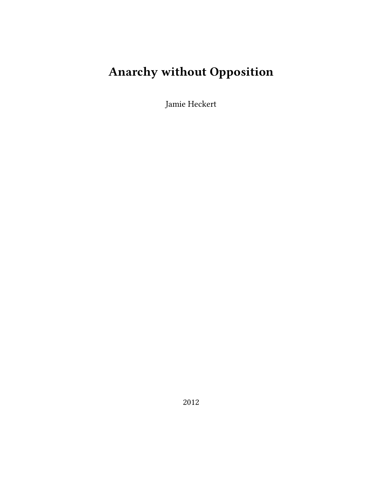# **Anarchy without Opposition**

Jamie Heckert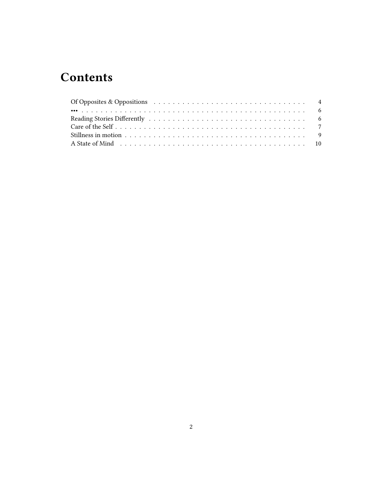## **Contents**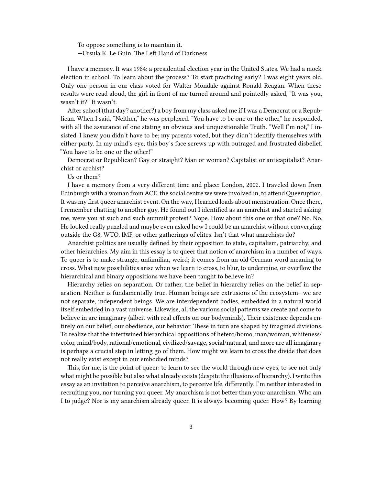To oppose something is to maintain it. —Ursula K. Le Guin, The Left Hand of Darkness

I have a memory. It was 1984: a presidential election year in the United States. We had a mock election in school. To learn about the process? To start practicing early? I was eight years old. Only one person in our class voted for Walter Mondale against Ronald Reagan. When these results were read aloud, the girl in front of me turned around and pointedly asked, "It was you, wasn't it?" It wasn't.

After school (that day? another?) a boy from my class asked me if I was a Democrat or a Republican. When I said, "Neither," he was perplexed. "You have to be one or the other," he responded, with all the assurance of one stating an obvious and unquestionable Truth. "Well I'm not," I insisted. I knew you didn't have to be; my parents voted, but they didn't identify themselves with either party. In my mind's eye, this boy's face screws up with outraged and frustrated disbelief. "You have to be one or the other!"

Democrat or Republican? Gay or straight? Man or woman? Capitalist or anticapitalist? Anarchist or archist?

Us or them?

I have a memory from a very different time and place: London, 2002. I traveled down from Edinburgh with a woman from ACE, the social centre we were involved in, to attendQueeruption. It was my first queer anarchist event. On the way, I learned loads about menstruation. Once there, I remember chatting to another guy. He found out I identified as an anarchist and started asking me, were you at such and such summit protest? Nope. How about this one or that one? No. No. He looked really puzzled and maybe even asked how I could be an anarchist without converging outside the G8, WTO, IMF, or other gatherings of elites. Isn't that what anarchists do?

Anarchist politics are usually defined by their opposition to state, capitalism, patriarchy, and other hierarchies. My aim in this essay is to queer that notion of anarchism in a number of ways. To queer is to make strange, unfamiliar, weird; it comes from an old German word meaning to cross. What new possibilities arise when we learn to cross, to blur, to undermine, or overflow the hierarchical and binary oppositions we have been taught to believe in?

Hierarchy relies on separation. Or rather, the belief in hierarchy relies on the belief in separation. Neither is fundamentally true. Human beings are extrusions of the ecosystem—we are not separate, independent beings. We are interdependent bodies, embedded in a natural world itself embedded in a vast universe. Likewise, all the various social patterns we create and come to believe in are imaginary (albeit with real effects on our bodyminds). Their existence depends entirely on our belief, our obedience, our behavior. These in turn are shaped by imagined divisions. To realize that the intertwined hierarchical oppositions of hetero/homo, man/woman, whiteness/ color, mind/body, rational/emotional, civilized/savage, social/natural, and more are all imaginary is perhaps a crucial step in letting go of them. How might we learn to cross the divide that does not really exist except in our embodied minds?

This, for me, is the point of queer: to learn to see the world through new eyes, to see not only what might be possible but also what already exists (despite the illusions of hierarchy). I write this essay as an invitation to perceive anarchism, to perceive life, differently. I'm neither interested in recruiting you, nor turning you queer. My anarchism is not better than your anarchism. Who am I to judge? Nor is my anarchism already queer. It is always becoming queer. How? By learning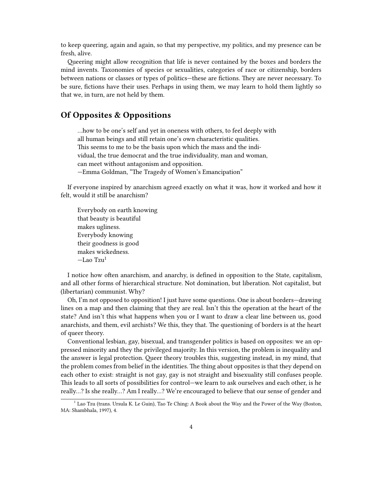to keep queering, again and again, so that my perspective, my politics, and my presence can be fresh, alive.

Queering might allow recognition that life is never contained by the boxes and borders the mind invents. Taxonomies of species or sexualities, categories of race or citizenship, borders between nations or classes or types of politics—these are fictions. They are never necessary. To be sure, fictions have their uses. Perhaps in using them, we may learn to hold them lightly so that we, in turn, are not held by them.

### <span id="page-3-0"></span>**Of Opposites & Oppositions**

…how to be one's self and yet in oneness with others, to feel deeply with all human beings and still retain one's own characteristic qualities. This seems to me to be the basis upon which the mass and the individual, the true democrat and the true individuality, man and woman, can meet without antagonism and opposition. —Emma Goldman, "The Tragedy of Women's Emancipation"

If everyone inspired by anarchism agreed exactly on what it was, how it worked and how it felt, would it still be anarchism?

Everybody on earth knowing that beauty is beautiful makes ugliness. Everybody knowing their goodness is good makes wickedness.  $-L$ ao Tzu<sup>1</sup>

I notice how often anarchism, and anarchy, is defined in opposition to the State, capitalism, and all other forms of hierarchical structure. Not domination, but liberation. Not capitalist, but (libertarian) communist. Why?

Oh, I'm not opposed to opposition! I just have some questions. One is about borders—drawing lines on a map and then claiming that they are real. Isn't this the operation at the heart of the state? And isn't this what happens when you or I want to draw a clear line between us, good anarchists, and them, evil archists? We this, they that. The questioning of borders is at the heart of queer theory.

Conventional lesbian, gay, bisexual, and transgender politics is based on opposites: we an oppressed minority and they the privileged majority. In this version, the problem is inequality and the answer is legal protection. Queer theory troubles this, suggesting instead, in my mind, that the problem comes from belief in the identities. The thing about opposites is that they depend on each other to exist: straight is not gay, gay is not straight and bisexuality still confuses people. This leads to all sorts of possibilities for control—we learn to ask ourselves and each other, is he really…? Is she really…? Am I really…? We're encouraged to believe that our sense of gender and

<sup>&</sup>lt;sup>1</sup> Lao Tzu (trans. Ursula K. Le Guin), Tao Te Ching: A Book about the Way and the Power of the Way (Boston, MA: Shambhala, 1997), 4.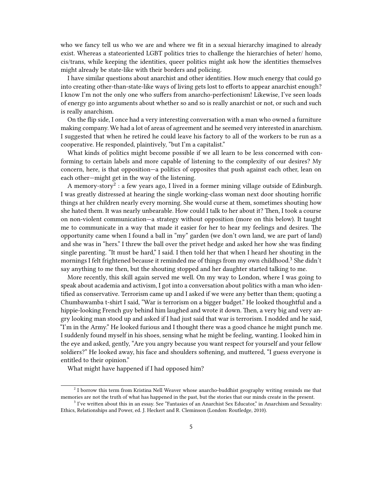who we fancy tell us who we are and where we fit in a sexual hierarchy imagined to already exist. Whereas a stateoriented LGBT politics tries to challenge the hierarchies of heter/ homo, cis/trans, while keeping the identities, queer politics might ask how the identities themselves might already be state-like with their borders and policing.

I have similar questions about anarchist and other identities. How much energy that could go into creating other-than-state-like ways of living gets lost to efforts to appear anarchist enough? I know I'm not the only one who suffers from anarcho-perfectionism! Likewise, I've seen loads of energy go into arguments about whether so and so is really anarchist or not, or such and such is really anarchism.

On the flip side, I once had a very interesting conversation with a man who owned a furniture making company. We had a lot of areas of agreement and he seemed very interested in anarchism. I suggested that when he retired he could leave his factory to all of the workers to be run as a cooperative. He responded, plaintively, "but I'm a capitalist."

What kinds of politics might become possible if we all learn to be less concerned with conforming to certain labels and more capable of listening to the complexity of our desires? My concern, here, is that opposition—a politics of opposites that push against each other, lean on each other—might get in the way of the listening.

A memory-story<sup>2</sup>: a few years ago, I lived in a former mining village outside of Edinburgh. I was greatly distressed at hearing the single working-class woman next door shouting horrific things at her children nearly every morning. She would curse at them, sometimes shouting how she hated them. It was nearly unbearable. How could I talk to her about it? Then, I took a course on non-violent communication—a strategy without opposition (more on this below). It taught me to communicate in a way that made it easier for her to hear my feelings and desires. The opportunity came when I found a ball in "my" garden (we don't own land, we are part of land) and she was in "hers." I threw the ball over the privet hedge and asked her how she was finding single parenting. "It must be hard," I said. I then told her that when I heard her shouting in the mornings I felt frightened because it reminded me of things from my own childhood.<sup>3</sup> She didn't say anything to me then, but the shouting stopped and her daughter started talking to me.

More recently, this skill again served me well. On my way to London, where I was going to speak about academia and activism, I got into a conversation about politics with a man who identified as conservative. Terrorism came up and I asked if we were any better than them; quoting a Chumbawamba t-shirt I said, "War is terrorism on a bigger budget." He looked thoughtful and a hippie-looking French guy behind him laughed and wrote it down. Then, a very big and very angry looking man stood up and asked if I had just said that war is terrorism. I nodded and he said, "I'm in the Army." He looked furious and I thought there was a good chance he might punch me. I suddenly found myself in his shoes, sensing what he might be feeling, wanting. I looked him in the eye and asked, gently, "Are you angry because you want respect for yourself and your fellow soldiers?" He looked away, his face and shoulders softening, and muttered, "I guess everyone is entitled to their opinion."

What might have happened if I had opposed him?

<sup>&</sup>lt;sup>2</sup> I borrow this term from Kristina Nell Weaver whose anarcho-buddhist geography writing reminds me that memories are not the truth of what has happened in the past, but the stories that our minds create in the present.

<sup>&</sup>lt;sup>3</sup> I've written about this in an essay. See "Fantasies of an Anarchist Sex Educator," in Anarchism and Sexuality: Ethics, Relationships and Power, ed. J. Heckert and R. Cleminson (London: Routledge, 2010).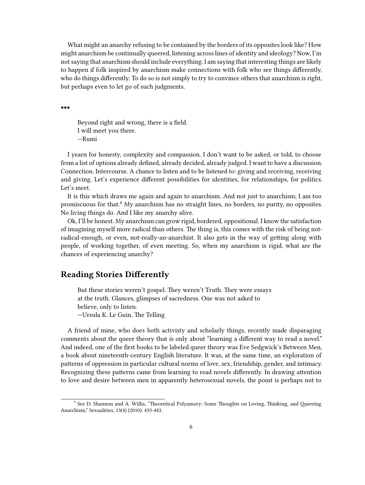What might an anarchy refusing to be contained by the borders of its opposites look like? How might anarchism be continually queered, listening across lines of identity and ideology? Now, I'm not saying that anarchism should include everything. I am saying that interesting things are likely to happen if folk inspired by anarchism make connections with folk who see things differently, who do things differently. To do so is not simply to try to convince others that anarchism is right, but perhaps even to let go of such judgments.

<span id="page-5-0"></span>**•••**

Beyond right and wrong, there is a field. I will meet you there. —Rumi

I yearn for honesty, complexity and compassion. I don't want to be asked, or told, to choose from a list of options already defined, already decided, already judged. I want to have a discussion. Connection. Intercourse. A chance to listen and to be listened to: giving and receiving, receiving and giving. Let's experience different possibilities for identities, for relationships, for politics. Let's meet.

It is this which draws me again and again to anarchism. And not just to anarchism; I am too promiscuous for that.<sup>4</sup> My anarchism has no straight lines, no borders, no purity, no opposites. No living things do. And I like my anarchy alive.

Ok, I'll be honest. My anarchism can grow rigid, bordered, oppositional. I know the satisfaction of imagining myself more radical than others. The thing is, this comes with the risk of being notradical-enough, or even, not-really-an-anarchist. It also gets in the way of getting along with people, of working together, of even meeting. So, when my anarchism is rigid, what are the chances of experiencing anarchy?

### <span id="page-5-1"></span>**Reading Stories Differently**

But these stories weren't gospel. They weren't Truth. They were essays at the truth. Glances, glimpses of sacredness. One was not asked to believe, only to listen. —Ursula K. Le Guin, The Telling

A friend of mine, who does both activisty and scholarly things, recently made disparaging comments about the queer theory that is only about "learning a different way to read a novel." And indeed, one of the first books to be labeled queer theory was Eve Sedgwick's Between Men, a book about nineteenth-century English literature. It was, at the same time, an exploration of patterns of oppression in particular cultural norms of love, sex, friendship, gender, and intimacy. Recognizing these patterns came from learning to read novels differently. In drawing attention to love and desire between men in apparently heterosexual novels, the point is perhaps not to

<sup>4</sup> See D. Shannon and A. Willis, "Theoretical Polyamory: Some Thoughts on Loving, Thinking, and Queering Anarchism," Sexualities, 13(4) (2010): 433-443.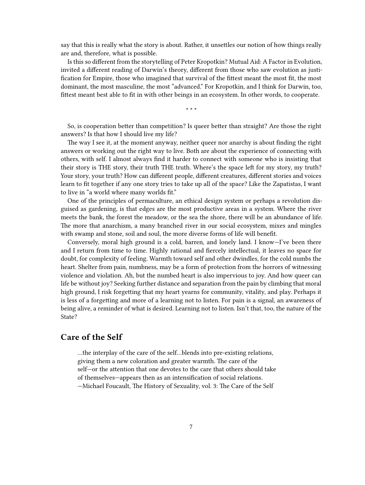say that this is really what the story is about. Rather, it unsettles our notion of how things really are and, therefore, what is possible.

Is this so different from the storytelling of Peter Kropotkin? Mutual Aid: A Factor in Evolution, invited a different reading of Darwin's theory, different from those who saw evolution as justification for Empire, those who imagined that survival of the fittest meant the most fit, the most dominant, the most masculine, the most "advanced." For Kropotkin, and I think for Darwin, too, fittest meant best able to fit in with other beings in an ecosystem. In other words, to cooperate.

\* \* \*

So, is cooperation better than competition? Is queer better than straight? Are those the right answers? Is that how I should live my life?

The way I see it, at the moment anyway, neither queer nor anarchy is about finding the right answers or working out the right way to live. Both are about the experience of connecting with others, with self. I almost always find it harder to connect with someone who is insisting that their story is THE story, their truth THE truth. Where's the space left for my story, my truth? Your story, your truth? How can different people, different creatures, different stories and voices learn to fit together if any one story tries to take up all of the space? Like the Zapatistas, I want to live in "a world where many worlds fit."

One of the principles of permaculture, an ethical design system or perhaps a revolution disguised as gardening, is that edges are the most productive areas in a system. Where the river meets the bank, the forest the meadow, or the sea the shore, there will be an abundance of life. The more that anarchism, a many branched river in our social ecosystem, mixes and mingles with swamp and stone, soil and soul, the more diverse forms of life will benefit.

Conversely, moral high ground is a cold, barren, and lonely land. I know—I've been there and I return from time to time. Highly rational and fiercely intellectual, it leaves no space for doubt, for complexity of feeling. Warmth toward self and other dwindles, for the cold numbs the heart. Shelter from pain, numbness, may be a form of protection from the horrors of witnessing violence and violation. Ah, but the numbed heart is also impervious to joy. And how queer can life be without joy? Seeking further distance and separation from the pain by climbing that moral high ground, I risk forgetting that my heart yearns for community, vitality, and play. Perhaps it is less of a forgetting and more of a learning not to listen. For pain is a signal, an awareness of being alive, a reminder of what is desired. Learning not to listen. Isn't that, too, the nature of the State?

### <span id="page-6-0"></span>**Care of the Self**

…the interplay of the care of the self…blends into pre-existing relations, giving them a new coloration and greater warmth. The care of the self—or the attention that one devotes to the care that others should take of themselves—appears then as an intensification of social relations. —Michael Foucault, The History of Sexuality, vol. 3: The Care of the Self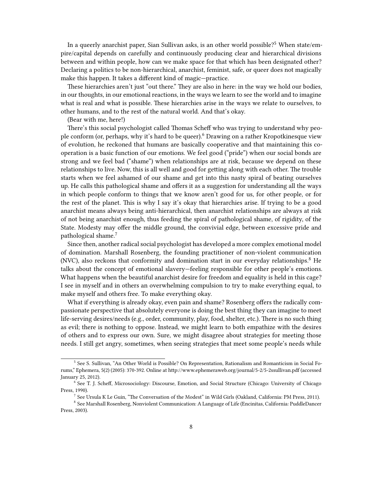In a queerly anarchist paper, Sian Sullivan asks, is an other world possible?<sup>5</sup> When state/empire/capital depends on carefully and continuously producing clear and hierarchical divisions between and within people, how can we make space for that which has been designated other? Declaring a politics to be non-hierarchical, anarchist, feminist, safe, or queer does not magically make this happen. It takes a different kind of magic—practice.

These hierarchies aren't just "out there." They are also in here: in the way we hold our bodies, in our thoughts, in our emotional reactions, in the ways we learn to see the world and to imagine what is real and what is possible. These hierarchies arise in the ways we relate to ourselves, to other humans, and to the rest of the natural world. And that's okay.

(Bear with me, here!)

There's this social psychologist called Thomas Scheff who was trying to understand why people conform (or, perhaps, why it's hard to be queer).<sup>6</sup> Drawing on a rather Kropotkinesque view of evolution, he reckoned that humans are basically cooperative and that maintaining this cooperation is a basic function of our emotions. We feel good ("pride") when our social bonds are strong and we feel bad ("shame") when relationships are at risk, because we depend on these relationships to live. Now, this is all well and good for getting along with each other. The trouble starts when we feel ashamed of our shame and get into this nasty spiral of beating ourselves up. He calls this pathological shame and offers it as a suggestion for understanding all the ways in which people conform to things that we know aren't good for us, for other people, or for the rest of the planet. This is why I say it's okay that hierarchies arise. If trying to be a good anarchist means always being anti-hierarchical, then anarchist relationships are always at risk of not being anarchist enough, thus feeding the spiral of pathological shame, of rigidity, of the State. Modesty may offer the middle ground, the convivial edge, between excessive pride and pathological shame.<sup>7</sup>

Since then, another radical social psychologist has developed a more complex emotional model of domination. Marshall Rosenberg, the founding practitioner of non-violent communication (NVC), also reckons that conformity and domination start in our everyday relationships.<sup>8</sup> He talks about the concept of emotional slavery—feeling responsible for other people's emotions. What happens when the beautiful anarchist desire for freedom and equality is held in this cage? I see in myself and in others an overwhelming compulsion to try to make everything equal, to make myself and others free. To make everything okay.

What if everything is already okay, even pain and shame? Rosenberg offers the radically compassionate perspective that absolutely everyone is doing the best thing they can imagine to meet life-serving desires/needs (e.g., order, community, play, food, shelter, etc.). There is no such thing as evil; there is nothing to oppose. Instead, we might learn to both empathize with the desires of others and to express our own. Sure, we might disagree about strategies for meeting those needs. I still get angry, sometimes, when seeing strategies that meet some people's needs while

<sup>5</sup> See S. Sullivan, "An Other World is Possible? On Representation, Rationalism and Romanticism in Social Forums," Ephemera, 5(2) (2005): 370-392. Online at http://www.ephemeraweb.org/journal/5-2/5-2ssullivan.pdf (accessed January 25, 2012).

<sup>6</sup> See T. J. Scheff, Microsociology: Discourse, Emotion, and Social Structure (Chicago: University of Chicago Press, 1990).

<sup>7</sup> See Ursula K Le Guin, "The Conversation of the Modest" in Wild Girls (Oakland, California: PM Press, 2011).

<sup>8</sup> See Marshall Rosenberg, Nonviolent Communication: A Language of Life (Encinitas, California: PuddleDancer Press, 2003).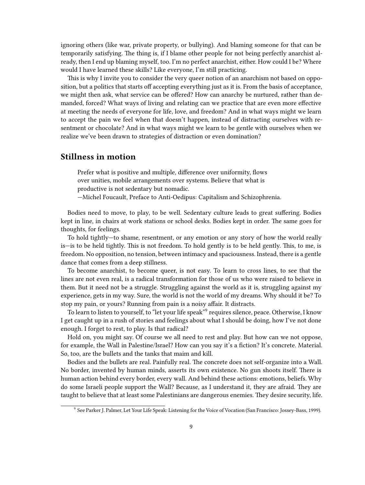ignoring others (like war, private property, or bullying). And blaming someone for that can be temporarily satisfying. The thing is, if I blame other people for not being perfectly anarchist already, then I end up blaming myself, too. I'm no perfect anarchist, either. How could I be? Where would I have learned these skills? Like everyone, I'm still practicing.

This is why I invite you to consider the very queer notion of an anarchism not based on opposition, but a politics that starts off accepting everything just as it is. From the basis of acceptance, we might then ask, what service can be offered? How can anarchy be nurtured, rather than demanded, forced? What ways of living and relating can we practice that are even more effective at meeting the needs of everyone for life, love, and freedom? And in what ways might we learn to accept the pain we feel when that doesn't happen, instead of distracting ourselves with resentment or chocolate? And in what ways might we learn to be gentle with ourselves when we realize we've been drawn to strategies of distraction or even domination?

#### <span id="page-8-0"></span>**Stillness in motion**

Prefer what is positive and multiple, difference over uniformity, flows over unities, mobile arrangements over systems. Believe that what is productive is not sedentary but nomadic. —Michel Foucault, Preface to Anti-Oedipus: Capitalism and Schizophrenia.

Bodies need to move, to play, to be well. Sedentary culture leads to great suffering. Bodies kept in line, in chairs at work stations or school desks. Bodies kept in order. The same goes for thoughts, for feelings.

To hold tightly—to shame, resentment, or any emotion or any story of how the world really is—is to be held tightly. This is not freedom. To hold gently is to be held gently. This, to me, is freedom. No opposition, no tension, between intimacy and spaciousness. Instead, there is a gentle dance that comes from a deep stillness.

To become anarchist, to become queer, is not easy. To learn to cross lines, to see that the lines are not even real, is a radical transformation for those of us who were raised to believe in them. But it need not be a struggle. Struggling against the world as it is, struggling against my experience, gets in my way. Sure, the world is not the world of my dreams. Why should it be? To stop my pain, or yours? Running from pain is a noisy affair. It distracts.

To learn to listen to yourself, to "let your life speak"<sup>9</sup> requires silence, peace. Otherwise, I know I get caught up in a rush of stories and feelings about what I should be doing, how I've not done enough. I forget to rest, to play. Is that radical?

Hold on, you might say. Of course we all need to rest and play. But how can we not oppose, for example, the Wall in Palestine/Israel? How can you say it's a fiction? It's concrete. Material. So, too, are the bullets and the tanks that maim and kill.

Bodies and the bullets are real. Painfully real. The concrete does not self-organize into a Wall. No border, invented by human minds, asserts its own existence. No gun shoots itself. There is human action behind every border, every wall. And behind these actions: emotions, beliefs. Why do some Israeli people support the Wall? Because, as I understand it, they are afraid. They are taught to believe that at least some Palestinians are dangerous enemies. They desire security, life.

<sup>9</sup> See Parker J. Palmer, Let Your Life Speak: Listening for the Voice of Vocation (San Francisco: Jossey-Bass, 1999).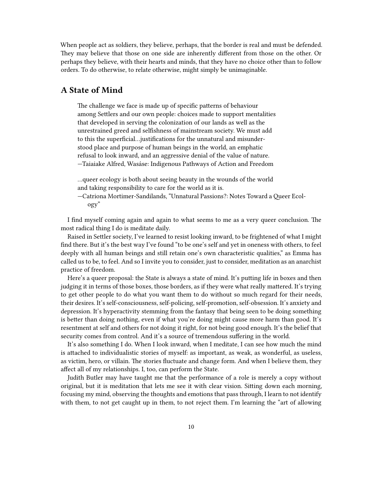When people act as soldiers, they believe, perhaps, that the border is real and must be defended. They may believe that those on one side are inherently different from those on the other. Or perhaps they believe, with their hearts and minds, that they have no choice other than to follow orders. To do otherwise, to relate otherwise, might simply be unimaginable.

#### <span id="page-9-0"></span>**A State of Mind**

The challenge we face is made up of specific patterns of behaviour among Settlers and our own people: choices made to support mentalities that developed in serving the colonization of our lands as well as the unrestrained greed and selfishness of mainstream society. We must add to this the superficial…justifications for the unnatural and misunderstood place and purpose of human beings in the world, an emphatic refusal to look inward, and an aggressive denial of the value of nature. —Taiaiake Alfred, Wasáse: Indigenous Pathways of Action and Freedom

…queer ecology is both about seeing beauty in the wounds of the world and taking responsibility to care for the world as it is.

—Catriona Mortimer-Sandilands, "Unnatural Passions?: Notes Toward a Queer Ecology"

I find myself coming again and again to what seems to me as a very queer conclusion. The most radical thing I do is meditate daily.

Raised in Settler society, I've learned to resist looking inward, to be frightened of what I might find there. But it's the best way I've found "to be one's self and yet in oneness with others, to feel deeply with all human beings and still retain one's own characteristic qualities," as Emma has called us to be, to feel. And so I invite you to consider, just to consider, meditation as an anarchist practice of freedom.

Here's a queer proposal: the State is always a state of mind. It's putting life in boxes and then judging it in terms of those boxes, those borders, as if they were what really mattered. It's trying to get other people to do what you want them to do without so much regard for their needs, their desires. It's self-consciousness, self-policing, self-promotion, self-obsession. It's anxiety and depression. It's hyperactivity stemming from the fantasy that being seen to be doing something is better than doing nothing, even if what you're doing might cause more harm than good. It's resentment at self and others for not doing it right, for not being good enough. It's the belief that security comes from control. And it's a source of tremendous suffering in the world.

It's also something I do. When I look inward, when I meditate, I can see how much the mind is attached to individualistic stories of myself: as important, as weak, as wonderful, as useless, as victim, hero, or villain. The stories fluctuate and change form. And when I believe them, they affect all of my relationships. I, too, can perform the State.

Judith Butler may have taught me that the performance of a role is merely a copy without original, but it is meditation that lets me see it with clear vision. Sitting down each morning, focusing my mind, observing the thoughts and emotions that pass through, I learn to not identify with them, to not get caught up in them, to not reject them. I'm learning the "art of allowing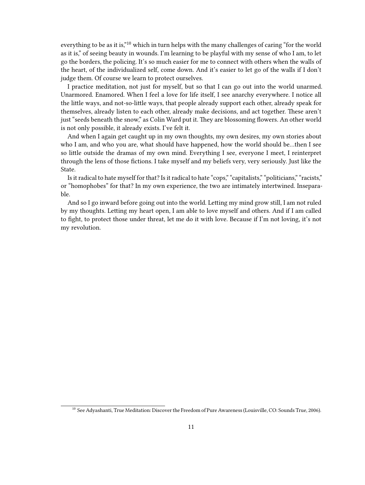everything to be as it is,"<sup>10</sup> which in turn helps with the many challenges of caring "for the world as it is," of seeing beauty in wounds. I'm learning to be playful with my sense of who I am, to let go the borders, the policing. It's so much easier for me to connect with others when the walls of the heart, of the individualized self, come down. And it's easier to let go of the walls if I don't judge them. Of course we learn to protect ourselves.

I practice meditation, not just for myself, but so that I can go out into the world unarmed. Unarmored. Enamored. When I feel a love for life itself, I see anarchy everywhere. I notice all the little ways, and not-so-little ways, that people already support each other, already speak for themselves, already listen to each other, already make decisions, and act together. These aren't just "seeds beneath the snow," as Colin Ward put it. They are blossoming flowers. An other world is not only possible, it already exists. I've felt it.

And when I again get caught up in my own thoughts, my own desires, my own stories about who I am, and who you are, what should have happened, how the world should be…then I see so little outside the dramas of my own mind. Everything I see, everyone I meet, I reinterpret through the lens of those fictions. I take myself and my beliefs very, very seriously. Just like the State.

Is it radical to hate myself for that? Is it radical to hate "cops," "capitalists," "politicians," "racists," or "homophobes" for that? In my own experience, the two are intimately intertwined. Inseparable.

And so I go inward before going out into the world. Letting my mind grow still, I am not ruled by my thoughts. Letting my heart open, I am able to love myself and others. And if I am called to fight, to protect those under threat, let me do it with love. Because if I'm not loving, it's not my revolution.

<sup>&</sup>lt;sup>10</sup> See Adyashanti, True Meditation: Discover the Freedom of Pure Awareness (Louisville, CO: Sounds True, 2006).